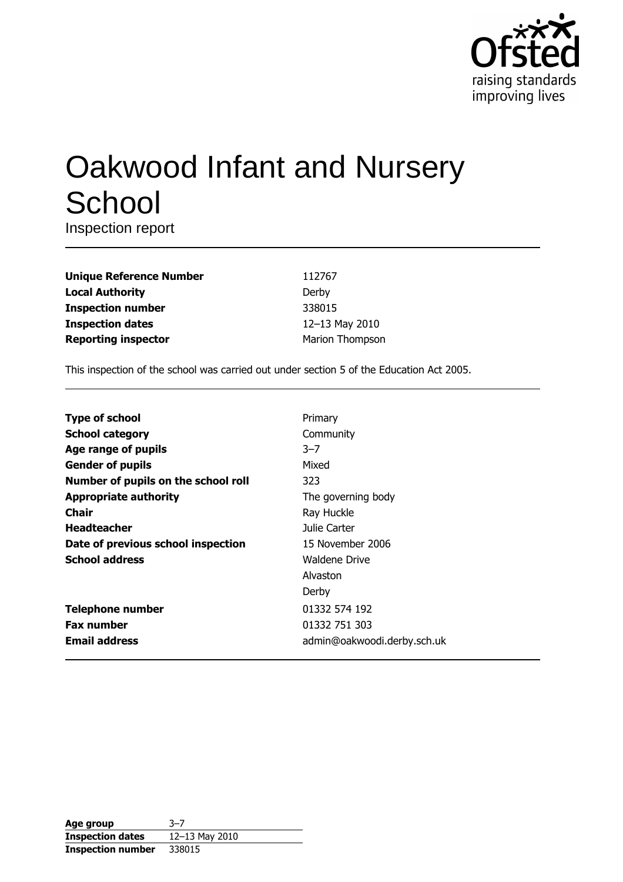

# Oakwood Infant and Nursery School

Inspection report

| <b>Unique Reference Number</b> | 112767          |
|--------------------------------|-----------------|
| Local Authority                | Derby           |
| Inspection number              | 338015          |
| <b>Inspection dates</b>        | 12-13 May 2010  |
| <b>Reporting inspector</b>     | Marion Thompson |
|                                |                 |

This inspection of the school was carried out under section 5 of the Education Act 2005.

| <b>Type of school</b>               | Primary                     |
|-------------------------------------|-----------------------------|
| <b>School category</b>              | Community                   |
| Age range of pupils                 | $3 - 7$                     |
| <b>Gender of pupils</b>             | Mixed                       |
| Number of pupils on the school roll | 323                         |
| <b>Appropriate authority</b>        | The governing body          |
| <b>Chair</b>                        | Ray Huckle                  |
| <b>Headteacher</b>                  | Julie Carter                |
| Date of previous school inspection  | 15 November 2006            |
| <b>School address</b>               | Waldene Drive               |
|                                     | Alvaston                    |
|                                     | Derby                       |
| <b>Telephone number</b>             | 01332 574 192               |
| <b>Fax number</b>                   | 01332 751 303               |
| <b>Email address</b>                | admin@oakwoodi.derby.sch.uk |

| Age group                | $3 - 7$            |
|--------------------------|--------------------|
| <b>Inspection dates</b>  | $12 - 13$ May 2010 |
| <b>Inspection number</b> | 338015             |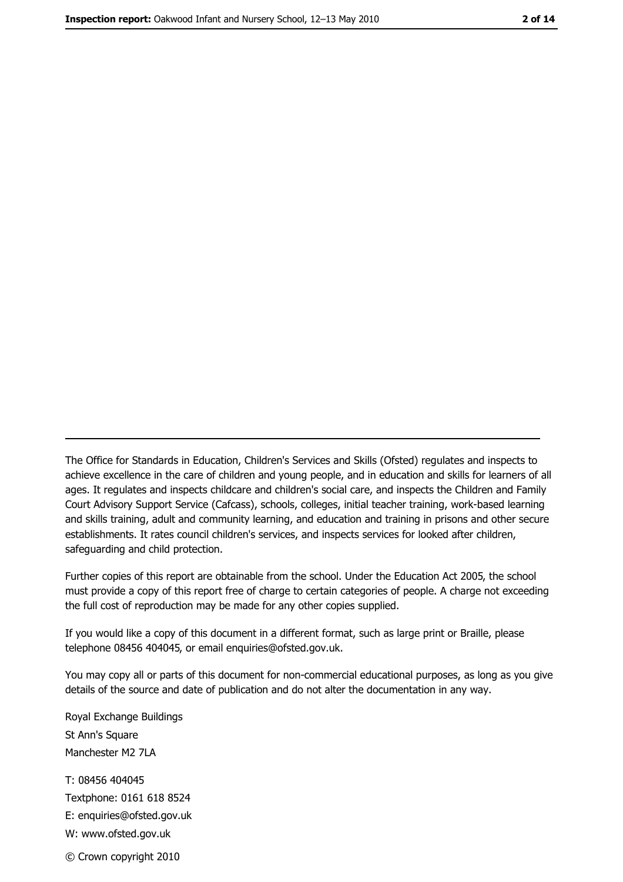The Office for Standards in Education, Children's Services and Skills (Ofsted) regulates and inspects to achieve excellence in the care of children and young people, and in education and skills for learners of all ages. It regulates and inspects childcare and children's social care, and inspects the Children and Family Court Advisory Support Service (Cafcass), schools, colleges, initial teacher training, work-based learning and skills training, adult and community learning, and education and training in prisons and other secure establishments. It rates council children's services, and inspects services for looked after children, safequarding and child protection.

Further copies of this report are obtainable from the school. Under the Education Act 2005, the school must provide a copy of this report free of charge to certain categories of people. A charge not exceeding the full cost of reproduction may be made for any other copies supplied.

If you would like a copy of this document in a different format, such as large print or Braille, please telephone 08456 404045, or email enquiries@ofsted.gov.uk.

You may copy all or parts of this document for non-commercial educational purposes, as long as you give details of the source and date of publication and do not alter the documentation in any way.

Royal Exchange Buildings St Ann's Square Manchester M2 7LA T: 08456 404045 Textphone: 0161 618 8524 E: enquiries@ofsted.gov.uk W: www.ofsted.gov.uk © Crown copyright 2010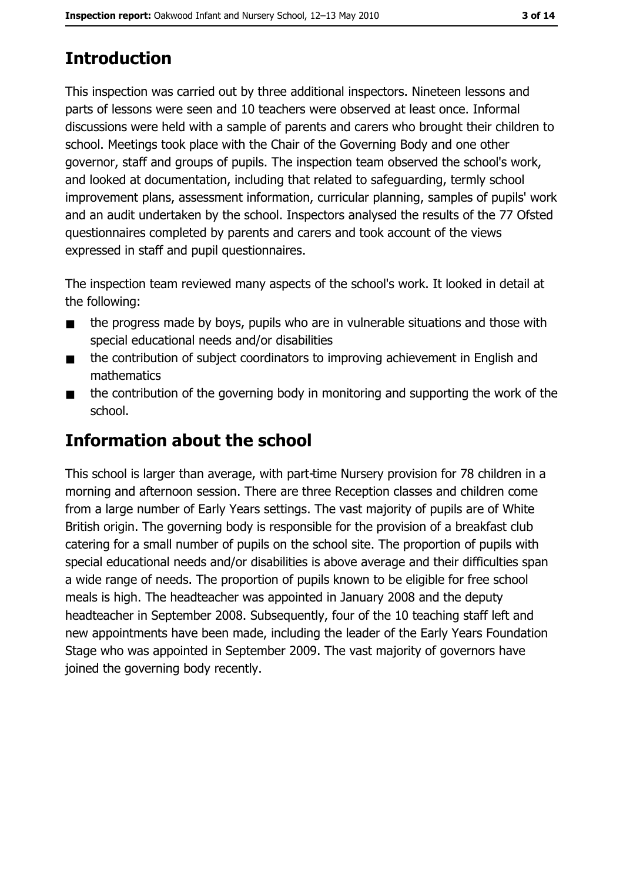# **Introduction**

This inspection was carried out by three additional inspectors. Nineteen lessons and parts of lessons were seen and 10 teachers were observed at least once. Informal discussions were held with a sample of parents and carers who brought their children to school. Meetings took place with the Chair of the Governing Body and one other governor, staff and groups of pupils. The inspection team observed the school's work, and looked at documentation, including that related to safeguarding, termly school improvement plans, assessment information, curricular planning, samples of pupils' work and an audit undertaken by the school. Inspectors analysed the results of the 77 Ofsted questionnaires completed by parents and carers and took account of the views expressed in staff and pupil questionnaires.

The inspection team reviewed many aspects of the school's work. It looked in detail at the following:

- the progress made by boys, pupils who are in vulnerable situations and those with  $\blacksquare$ special educational needs and/or disabilities
- the contribution of subject coordinators to improving achievement in English and  $\blacksquare$ mathematics
- the contribution of the governing body in monitoring and supporting the work of the  $\blacksquare$ school.

# **Information about the school**

This school is larger than average, with part-time Nursery provision for 78 children in a morning and afternoon session. There are three Reception classes and children come from a large number of Early Years settings. The vast majority of pupils are of White British origin. The governing body is responsible for the provision of a breakfast club catering for a small number of pupils on the school site. The proportion of pupils with special educational needs and/or disabilities is above average and their difficulties span a wide range of needs. The proportion of pupils known to be eligible for free school meals is high. The headteacher was appointed in January 2008 and the deputy headteacher in September 2008. Subsequently, four of the 10 teaching staff left and new appointments have been made, including the leader of the Early Years Foundation Stage who was appointed in September 2009. The vast majority of governors have joined the governing body recently.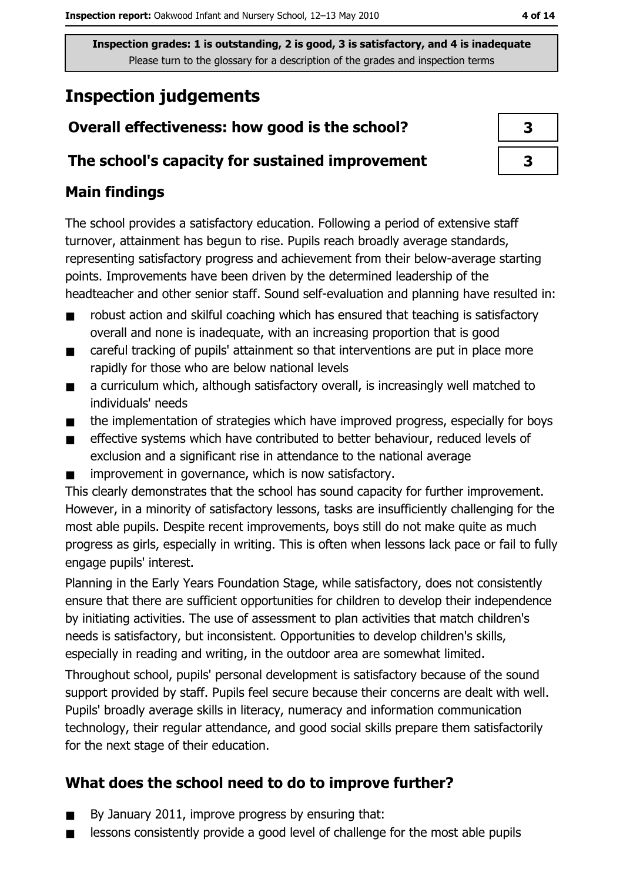# **Inspection judgements**

## Overall effectiveness: how good is the school?

## The school's capacity for sustained improvement

## **Main findings**

The school provides a satisfactory education. Following a period of extensive staff turnover, attainment has begun to rise. Pupils reach broadly average standards, representing satisfactory progress and achievement from their below-average starting points. Improvements have been driven by the determined leadership of the headteacher and other senior staff. Sound self-evaluation and planning have resulted in:

- robust action and skilful coaching which has ensured that teaching is satisfactory  $\blacksquare$ overall and none is inadequate, with an increasing proportion that is good
- careful tracking of pupils' attainment so that interventions are put in place more  $\blacksquare$ rapidly for those who are below national levels
- a curriculum which, although satisfactory overall, is increasingly well matched to  $\blacksquare$ individuals' needs
- the implementation of strategies which have improved progress, especially for boys  $\blacksquare$
- effective systems which have contributed to better behaviour, reduced levels of  $\blacksquare$ exclusion and a significant rise in attendance to the national average
- improvement in governance, which is now satisfactory.

This clearly demonstrates that the school has sound capacity for further improvement. However, in a minority of satisfactory lessons, tasks are insufficiently challenging for the most able pupils. Despite recent improvements, boys still do not make quite as much progress as girls, especially in writing. This is often when lessons lack pace or fail to fully engage pupils' interest.

Planning in the Early Years Foundation Stage, while satisfactory, does not consistently ensure that there are sufficient opportunities for children to develop their independence by initiating activities. The use of assessment to plan activities that match children's needs is satisfactory, but inconsistent. Opportunities to develop children's skills, especially in reading and writing, in the outdoor area are somewhat limited.

Throughout school, pupils' personal development is satisfactory because of the sound support provided by staff. Pupils feel secure because their concerns are dealt with well. Pupils' broadly average skills in literacy, numeracy and information communication technology, their regular attendance, and good social skills prepare them satisfactorily for the next stage of their education.

## What does the school need to do to improve further?

- By January 2011, improve progress by ensuring that:  $\blacksquare$
- lessons consistently provide a good level of challenge for the most able pupils  $\blacksquare$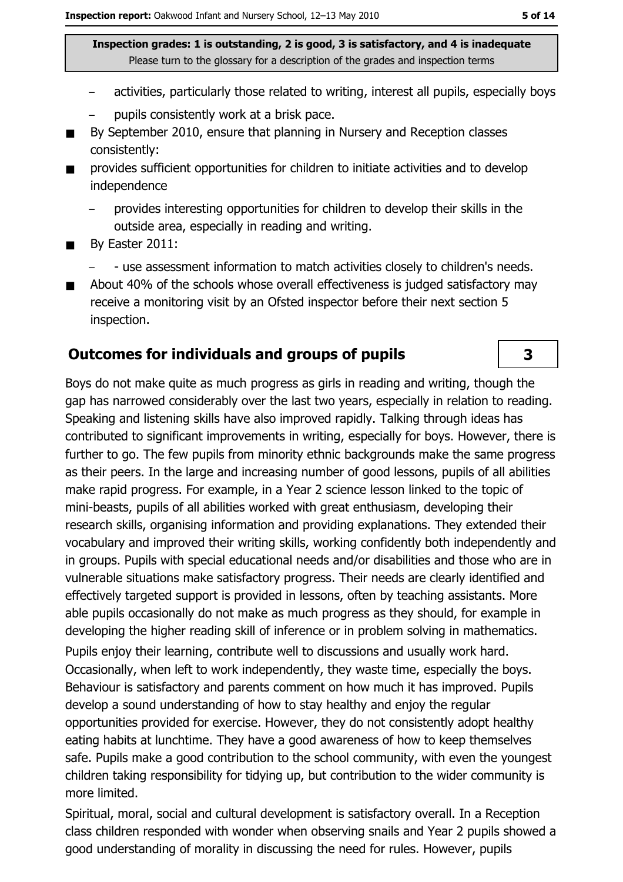- activities, particularly those related to writing, interest all pupils, especially boys
- pupils consistently work at a brisk pace.
- By September 2010, ensure that planning in Nursery and Reception classes  $\blacksquare$ consistently:
- provides sufficient opportunities for children to initiate activities and to develop  $\blacksquare$ independence
	- provides interesting opportunities for children to develop their skills in the outside area, especially in reading and writing.
- By Easter 2011:  $\blacksquare$ 
	- use assessment information to match activities closely to children's needs.
- About 40% of the schools whose overall effectiveness is judged satisfactory may  $\blacksquare$ receive a monitoring visit by an Ofsted inspector before their next section 5 inspection.

#### **Outcomes for individuals and groups of pupils**

Boys do not make quite as much progress as girls in reading and writing, though the gap has narrowed considerably over the last two years, especially in relation to reading. Speaking and listening skills have also improved rapidly. Talking through ideas has contributed to significant improvements in writing, especially for boys. However, there is further to go. The few pupils from minority ethnic backgrounds make the same progress as their peers. In the large and increasing number of good lessons, pupils of all abilities make rapid progress. For example, in a Year 2 science lesson linked to the topic of mini-beasts, pupils of all abilities worked with great enthusiasm, developing their research skills, organising information and providing explanations. They extended their vocabulary and improved their writing skills, working confidently both independently and in groups. Pupils with special educational needs and/or disabilities and those who are in vulnerable situations make satisfactory progress. Their needs are clearly identified and effectively targeted support is provided in lessons, often by teaching assistants. More able pupils occasionally do not make as much progress as they should, for example in developing the higher reading skill of inference or in problem solving in mathematics.

Pupils enjoy their learning, contribute well to discussions and usually work hard. Occasionally, when left to work independently, they waste time, especially the boys. Behaviour is satisfactory and parents comment on how much it has improved. Pupils develop a sound understanding of how to stay healthy and enjoy the regular opportunities provided for exercise. However, they do not consistently adopt healthy eating habits at lunchtime. They have a good awareness of how to keep themselves safe. Pupils make a good contribution to the school community, with even the youngest children taking responsibility for tidying up, but contribution to the wider community is more limited.

Spiritual, moral, social and cultural development is satisfactory overall. In a Reception class children responded with wonder when observing snails and Year 2 pupils showed a good understanding of morality in discussing the need for rules. However, pupils

3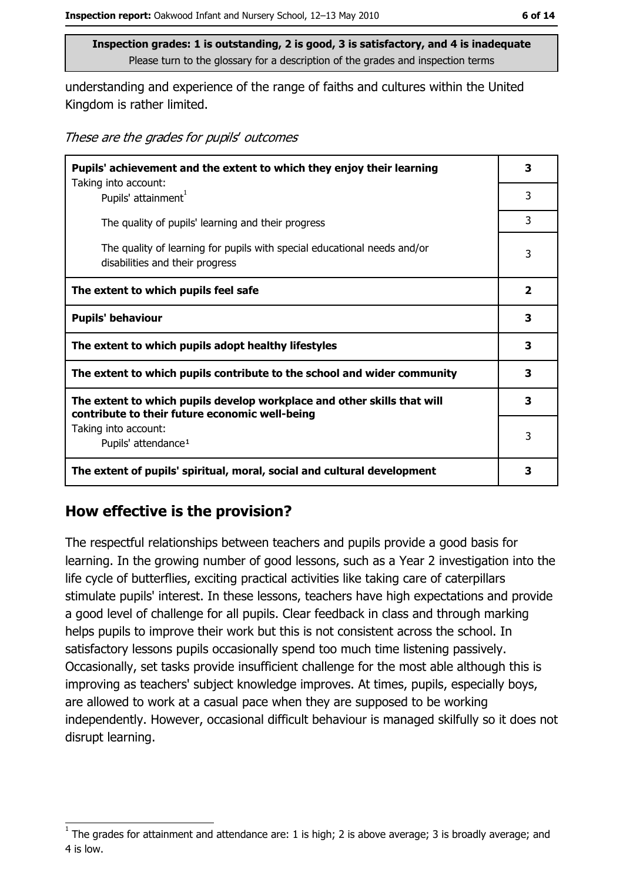understanding and experience of the range of faiths and cultures within the United Kingdom is rather limited.

These are the grades for pupils' outcomes

| Pupils' achievement and the extent to which they enjoy their learning                                                     |   |
|---------------------------------------------------------------------------------------------------------------------------|---|
| Taking into account:<br>Pupils' attainment <sup>1</sup>                                                                   | 3 |
| The quality of pupils' learning and their progress                                                                        | 3 |
| The quality of learning for pupils with special educational needs and/or<br>disabilities and their progress               | 3 |
| The extent to which pupils feel safe                                                                                      | 2 |
| <b>Pupils' behaviour</b>                                                                                                  | 3 |
| The extent to which pupils adopt healthy lifestyles                                                                       | 3 |
| The extent to which pupils contribute to the school and wider community                                                   |   |
| The extent to which pupils develop workplace and other skills that will<br>contribute to their future economic well-being | 3 |
| Taking into account:<br>Pupils' attendance <sup>1</sup>                                                                   | 3 |
| The extent of pupils' spiritual, moral, social and cultural development                                                   | 3 |

## How effective is the provision?

The respectful relationships between teachers and pupils provide a good basis for learning. In the growing number of good lessons, such as a Year 2 investigation into the life cycle of butterflies, exciting practical activities like taking care of caterpillars stimulate pupils' interest. In these lessons, teachers have high expectations and provide a good level of challenge for all pupils. Clear feedback in class and through marking helps pupils to improve their work but this is not consistent across the school. In satisfactory lessons pupils occasionally spend too much time listening passively. Occasionally, set tasks provide insufficient challenge for the most able although this is improving as teachers' subject knowledge improves. At times, pupils, especially boys, are allowed to work at a casual pace when they are supposed to be working independently. However, occasional difficult behaviour is managed skilfully so it does not disrupt learning.

The grades for attainment and attendance are: 1 is high; 2 is above average; 3 is broadly average; and 4 is low.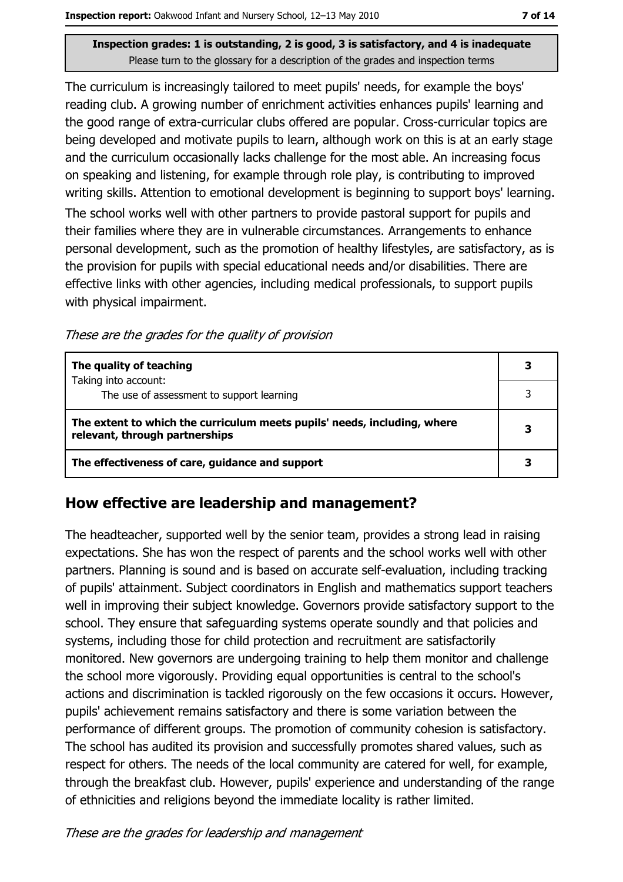The curriculum is increasingly tailored to meet pupils' needs, for example the boys' reading club. A growing number of enrichment activities enhances pupils' learning and the good range of extra-curricular clubs offered are popular. Cross-curricular topics are being developed and motivate pupils to learn, although work on this is at an early stage and the curriculum occasionally lacks challenge for the most able. An increasing focus on speaking and listening, for example through role play, is contributing to improved writing skills. Attention to emotional development is beginning to support boys' learning.

The school works well with other partners to provide pastoral support for pupils and their families where they are in vulnerable circumstances. Arrangements to enhance personal development, such as the promotion of healthy lifestyles, are satisfactory, as is the provision for pupils with special educational needs and/or disabilities. There are effective links with other agencies, including medical professionals, to support pupils with physical impairment.

These are the grades for the quality of provision

| The quality of teaching                                                                                    |  |
|------------------------------------------------------------------------------------------------------------|--|
| Taking into account:<br>The use of assessment to support learning                                          |  |
| The extent to which the curriculum meets pupils' needs, including, where<br>relevant, through partnerships |  |
| The effectiveness of care, guidance and support                                                            |  |

## How effective are leadership and management?

The headteacher, supported well by the senior team, provides a strong lead in raising expectations. She has won the respect of parents and the school works well with other partners. Planning is sound and is based on accurate self-evaluation, including tracking of pupils' attainment. Subject coordinators in English and mathematics support teachers well in improving their subject knowledge. Governors provide satisfactory support to the school. They ensure that safeguarding systems operate soundly and that policies and systems, including those for child protection and recruitment are satisfactorily monitored. New governors are undergoing training to help them monitor and challenge the school more vigorously. Providing equal opportunities is central to the school's actions and discrimination is tackled rigorously on the few occasions it occurs. However, pupils' achievement remains satisfactory and there is some variation between the performance of different groups. The promotion of community cohesion is satisfactory. The school has audited its provision and successfully promotes shared values, such as respect for others. The needs of the local community are catered for well, for example, through the breakfast club. However, pupils' experience and understanding of the range of ethnicities and religions beyond the immediate locality is rather limited.

These are the grades for leadership and management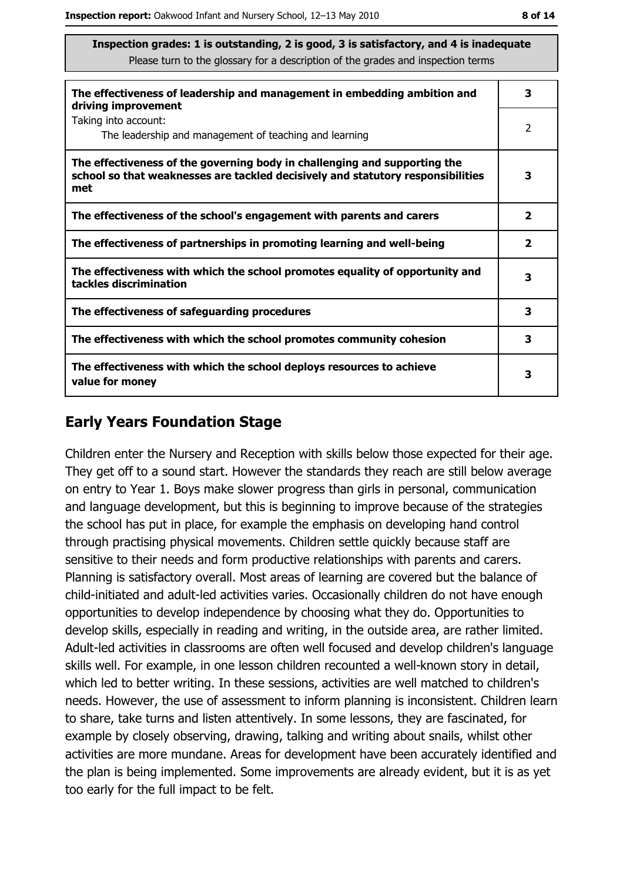| The effectiveness of leadership and management in embedding ambition and<br>driving improvement                                                                     |                         |  |
|---------------------------------------------------------------------------------------------------------------------------------------------------------------------|-------------------------|--|
| Taking into account:<br>The leadership and management of teaching and learning                                                                                      | 2                       |  |
| The effectiveness of the governing body in challenging and supporting the<br>school so that weaknesses are tackled decisively and statutory responsibilities<br>met | 3                       |  |
| The effectiveness of the school's engagement with parents and carers                                                                                                | 2                       |  |
| The effectiveness of partnerships in promoting learning and well-being                                                                                              | $\overline{\mathbf{2}}$ |  |
| The effectiveness with which the school promotes equality of opportunity and<br>tackles discrimination                                                              | 3                       |  |
| The effectiveness of safeguarding procedures                                                                                                                        | 3                       |  |
| The effectiveness with which the school promotes community cohesion                                                                                                 | 3                       |  |
| The effectiveness with which the school deploys resources to achieve<br>value for money                                                                             | 3                       |  |

## **Early Years Foundation Stage**

Children enter the Nursery and Reception with skills below those expected for their age. They get off to a sound start. However the standards they reach are still below average on entry to Year 1, Boys make slower progress than girls in personal, communication and language development, but this is beginning to improve because of the strategies the school has put in place, for example the emphasis on developing hand control through practising physical movements. Children settle quickly because staff are sensitive to their needs and form productive relationships with parents and carers. Planning is satisfactory overall. Most areas of learning are covered but the balance of child-initiated and adult-led activities varies. Occasionally children do not have enough opportunities to develop independence by choosing what they do. Opportunities to develop skills, especially in reading and writing, in the outside area, are rather limited. Adult-led activities in classrooms are often well focused and develop children's language skills well. For example, in one lesson children recounted a well-known story in detail, which led to better writing. In these sessions, activities are well matched to children's needs. However, the use of assessment to inform planning is inconsistent. Children learn to share, take turns and listen attentively. In some lessons, they are fascinated, for example by closely observing, drawing, talking and writing about snails, whilst other activities are more mundane. Areas for development have been accurately identified and the plan is being implemented. Some improvements are already evident, but it is as yet too early for the full impact to be felt.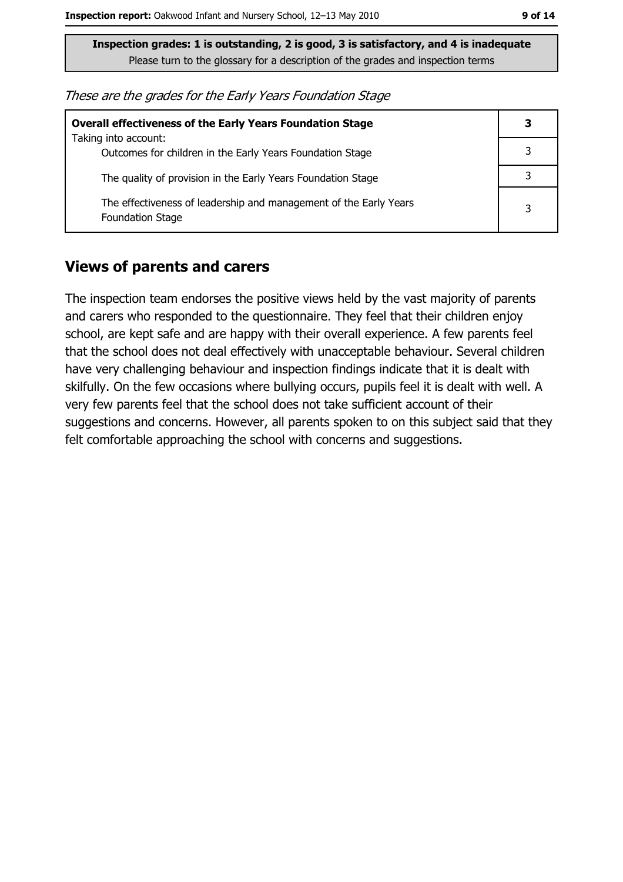These are the grades for the Early Years Foundation Stage

| <b>Overall effectiveness of the Early Years Foundation Stage</b>                             | 3 |
|----------------------------------------------------------------------------------------------|---|
| Taking into account:<br>Outcomes for children in the Early Years Foundation Stage            |   |
| The quality of provision in the Early Years Foundation Stage                                 |   |
| The effectiveness of leadership and management of the Early Years<br><b>Foundation Stage</b> | 3 |

#### **Views of parents and carers**

The inspection team endorses the positive views held by the vast majority of parents and carers who responded to the questionnaire. They feel that their children enjoy school, are kept safe and are happy with their overall experience. A few parents feel that the school does not deal effectively with unacceptable behaviour. Several children have very challenging behaviour and inspection findings indicate that it is dealt with skilfully. On the few occasions where bullying occurs, pupils feel it is dealt with well. A very few parents feel that the school does not take sufficient account of their suggestions and concerns. However, all parents spoken to on this subject said that they felt comfortable approaching the school with concerns and suggestions.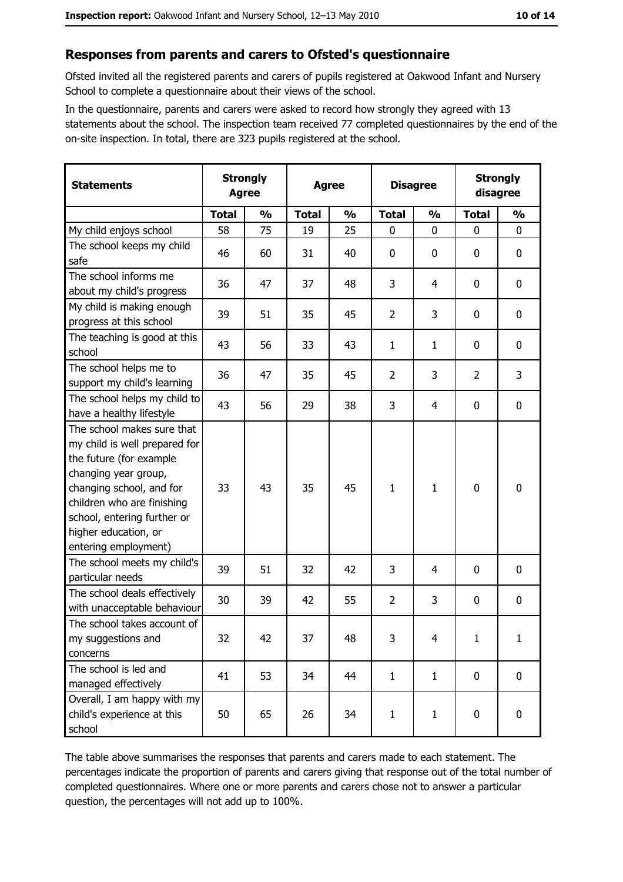#### Responses from parents and carers to Ofsted's questionnaire

Ofsted invited all the registered parents and carers of pupils registered at Oakwood Infant and Nursery School to complete a questionnaire about their views of the school.

In the questionnaire, parents and carers were asked to record how strongly they agreed with 13 statements about the school. The inspection team received 77 completed questionnaires by the end of the on-site inspection. In total, there are 323 pupils registered at the school.

| <b>Statements</b>                                                                                                                                                                                                                                       | <b>Strongly</b><br><b>Agree</b> |               | <b>Agree</b> |               | <b>Disagree</b> |               | <b>Strongly</b><br>disagree |               |
|---------------------------------------------------------------------------------------------------------------------------------------------------------------------------------------------------------------------------------------------------------|---------------------------------|---------------|--------------|---------------|-----------------|---------------|-----------------------------|---------------|
|                                                                                                                                                                                                                                                         | <b>Total</b>                    | $\frac{1}{2}$ | <b>Total</b> | $\frac{1}{2}$ | <b>Total</b>    | $\frac{0}{0}$ | <b>Total</b>                | $\frac{0}{0}$ |
| My child enjoys school                                                                                                                                                                                                                                  | 58                              | 75            | 19           | 25            | $\mathbf 0$     | 0             | $\mathbf 0$                 | $\mathbf 0$   |
| The school keeps my child<br>safe                                                                                                                                                                                                                       | 46                              | 60            | 31           | 40            | $\mathbf 0$     | 0             | 0                           | 0             |
| The school informs me<br>about my child's progress                                                                                                                                                                                                      | 36                              | 47            | 37           | 48            | 3               | 4             | 0                           | 0             |
| My child is making enough<br>progress at this school                                                                                                                                                                                                    | 39                              | 51            | 35           | 45            | $\overline{2}$  | 3             | 0                           | $\mathbf 0$   |
| The teaching is good at this<br>school                                                                                                                                                                                                                  | 43                              | 56            | 33           | 43            | $\mathbf{1}$    | $\mathbf{1}$  | 0                           | $\mathbf 0$   |
| The school helps me to<br>support my child's learning                                                                                                                                                                                                   | 36                              | 47            | 35           | 45            | $\overline{2}$  | 3             | $\overline{2}$              | 3             |
| The school helps my child to<br>have a healthy lifestyle                                                                                                                                                                                                | 43                              | 56            | 29           | 38            | 3               | 4             | 0                           | $\mathbf 0$   |
| The school makes sure that<br>my child is well prepared for<br>the future (for example<br>changing year group,<br>changing school, and for<br>children who are finishing<br>school, entering further or<br>higher education, or<br>entering employment) | 33                              | 43            | 35           | 45            | $\mathbf{1}$    | 1             | 0                           | $\mathbf 0$   |
| The school meets my child's<br>particular needs                                                                                                                                                                                                         | 39                              | 51            | 32           | 42            | 3               | 4             | 0                           | $\mathbf 0$   |
| The school deals effectively<br>with unacceptable behaviour                                                                                                                                                                                             | 30                              | 39            | 42           | 55            | $\overline{2}$  | 3             | 0                           | 0             |
| The school takes account of<br>my suggestions and<br>concerns                                                                                                                                                                                           | 32                              | 42            | 37           | 48            | 3               | 4             | $\mathbf{1}$                | $\mathbf{1}$  |
| The school is led and<br>managed effectively                                                                                                                                                                                                            | 41                              | 53            | 34           | 44            | $\mathbf{1}$    | $\mathbf{1}$  | $\mathbf 0$                 | 0             |
| Overall, I am happy with my<br>child's experience at this<br>school                                                                                                                                                                                     | 50                              | 65            | 26           | 34            | $\mathbf{1}$    | $\mathbf{1}$  | 0                           | 0             |

The table above summarises the responses that parents and carers made to each statement. The percentages indicate the proportion of parents and carers giving that response out of the total number of completed questionnaires. Where one or more parents and carers chose not to answer a particular question, the percentages will not add up to 100%.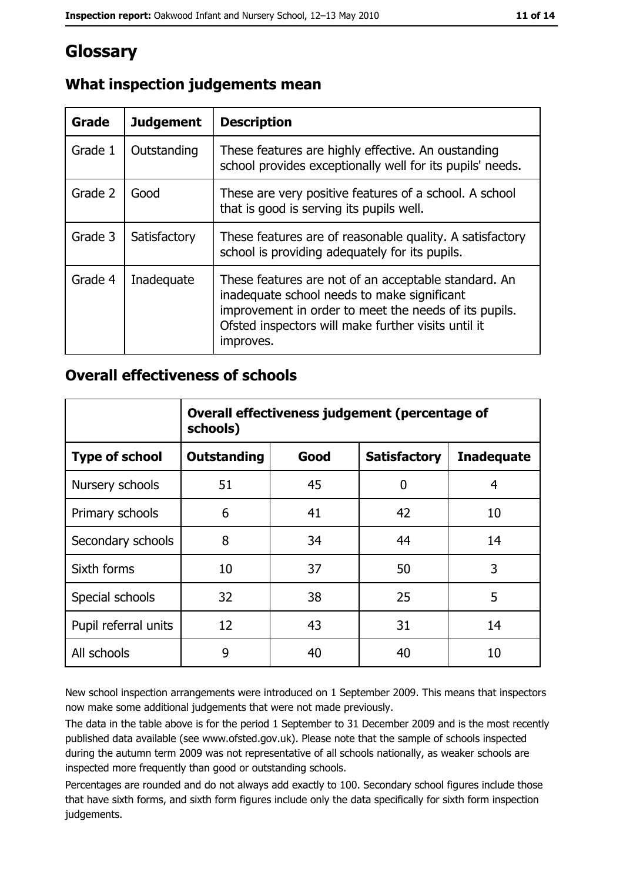## **Glossary**

| Grade   | <b>Judgement</b> | <b>Description</b>                                                                                                                                                                                                               |
|---------|------------------|----------------------------------------------------------------------------------------------------------------------------------------------------------------------------------------------------------------------------------|
| Grade 1 | Outstanding      | These features are highly effective. An oustanding<br>school provides exceptionally well for its pupils' needs.                                                                                                                  |
| Grade 2 | Good             | These are very positive features of a school. A school<br>that is good is serving its pupils well.                                                                                                                               |
| Grade 3 | Satisfactory     | These features are of reasonable quality. A satisfactory<br>school is providing adequately for its pupils.                                                                                                                       |
| Grade 4 | Inadequate       | These features are not of an acceptable standard. An<br>inadequate school needs to make significant<br>improvement in order to meet the needs of its pupils.<br>Ofsted inspectors will make further visits until it<br>improves. |

## What inspection judgements mean

## **Overall effectiveness of schools**

|                       | Overall effectiveness judgement (percentage of<br>schools) |      |                     |                   |
|-----------------------|------------------------------------------------------------|------|---------------------|-------------------|
| <b>Type of school</b> | <b>Outstanding</b>                                         | Good | <b>Satisfactory</b> | <b>Inadequate</b> |
| Nursery schools       | 51                                                         | 45   | 0                   | 4                 |
| Primary schools       | 6                                                          | 41   | 42                  | 10                |
| Secondary schools     | 8                                                          | 34   | 44                  | 14                |
| Sixth forms           | 10                                                         | 37   | 50                  | 3                 |
| Special schools       | 32                                                         | 38   | 25                  | 5                 |
| Pupil referral units  | 12                                                         | 43   | 31                  | 14                |
| All schools           | 9                                                          | 40   | 40                  | 10                |

New school inspection arrangements were introduced on 1 September 2009. This means that inspectors now make some additional judgements that were not made previously.

The data in the table above is for the period 1 September to 31 December 2009 and is the most recently published data available (see www.ofsted.gov.uk). Please note that the sample of schools inspected during the autumn term 2009 was not representative of all schools nationally, as weaker schools are inspected more frequently than good or outstanding schools.

Percentages are rounded and do not always add exactly to 100. Secondary school figures include those that have sixth forms, and sixth form figures include only the data specifically for sixth form inspection judgements.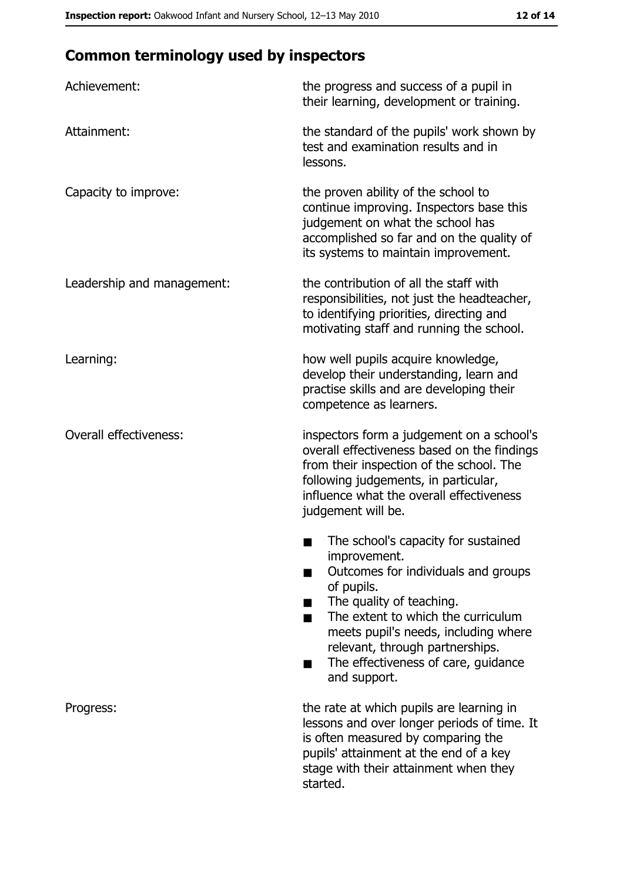# **Common terminology used by inspectors**

| Achievement:                  | the progress and success of a pupil in<br>their learning, development or training.                                                                                                                                                                                                                           |
|-------------------------------|--------------------------------------------------------------------------------------------------------------------------------------------------------------------------------------------------------------------------------------------------------------------------------------------------------------|
| Attainment:                   | the standard of the pupils' work shown by<br>test and examination results and in<br>lessons.                                                                                                                                                                                                                 |
| Capacity to improve:          | the proven ability of the school to<br>continue improving. Inspectors base this<br>judgement on what the school has<br>accomplished so far and on the quality of<br>its systems to maintain improvement.                                                                                                     |
| Leadership and management:    | the contribution of all the staff with<br>responsibilities, not just the headteacher,<br>to identifying priorities, directing and<br>motivating staff and running the school.                                                                                                                                |
| Learning:                     | how well pupils acquire knowledge,<br>develop their understanding, learn and<br>practise skills and are developing their<br>competence as learners.                                                                                                                                                          |
| <b>Overall effectiveness:</b> | inspectors form a judgement on a school's<br>overall effectiveness based on the findings<br>from their inspection of the school. The<br>following judgements, in particular,<br>influence what the overall effectiveness<br>judgement will be.                                                               |
|                               | The school's capacity for sustained<br>improvement.<br>Outcomes for individuals and groups<br>of pupils.<br>The quality of teaching.<br>The extent to which the curriculum<br>meets pupil's needs, including where<br>relevant, through partnerships.<br>The effectiveness of care, guidance<br>and support. |
| Progress:                     | the rate at which pupils are learning in<br>lessons and over longer periods of time. It<br>is often measured by comparing the<br>pupils' attainment at the end of a key<br>stage with their attainment when they<br>started.                                                                                 |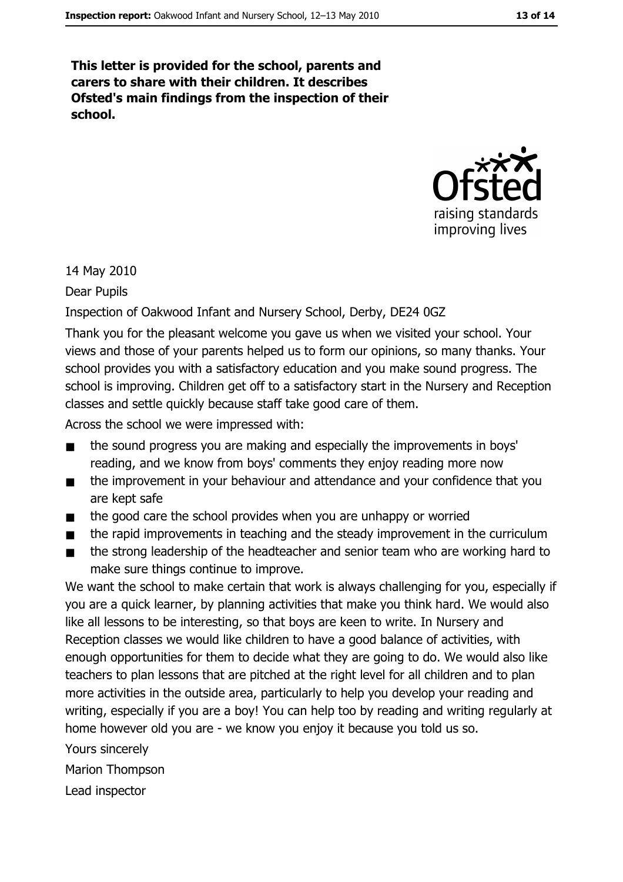This letter is provided for the school, parents and carers to share with their children. It describes Ofsted's main findings from the inspection of their school.



14 May 2010

Dear Pupils

Inspection of Oakwood Infant and Nursery School, Derby, DE24 0GZ

Thank you for the pleasant welcome you gave us when we visited your school. Your views and those of your parents helped us to form our opinions, so many thanks. Your school provides you with a satisfactory education and you make sound progress. The school is improving. Children get off to a satisfactory start in the Nursery and Reception classes and settle quickly because staff take good care of them.

Across the school we were impressed with:

- the sound progress you are making and especially the improvements in boys'  $\blacksquare$ reading, and we know from boys' comments they enjoy reading more now
- the improvement in your behaviour and attendance and your confidence that you  $\blacksquare$ are kept safe
- the good care the school provides when you are unhappy or worried  $\blacksquare$
- the rapid improvements in teaching and the steady improvement in the curriculum  $\blacksquare$
- the strong leadership of the headteacher and senior team who are working hard to  $\blacksquare$ make sure things continue to improve.

We want the school to make certain that work is always challenging for you, especially if you are a quick learner, by planning activities that make you think hard. We would also like all lessons to be interesting, so that boys are keen to write. In Nursery and Reception classes we would like children to have a good balance of activities, with enough opportunities for them to decide what they are going to do. We would also like teachers to plan lessons that are pitched at the right level for all children and to plan more activities in the outside area, particularly to help you develop your reading and writing, especially if you are a boy! You can help too by reading and writing regularly at home however old you are - we know you enjoy it because you told us so.

Yours sincerely

**Marion Thompson** 

Lead inspector